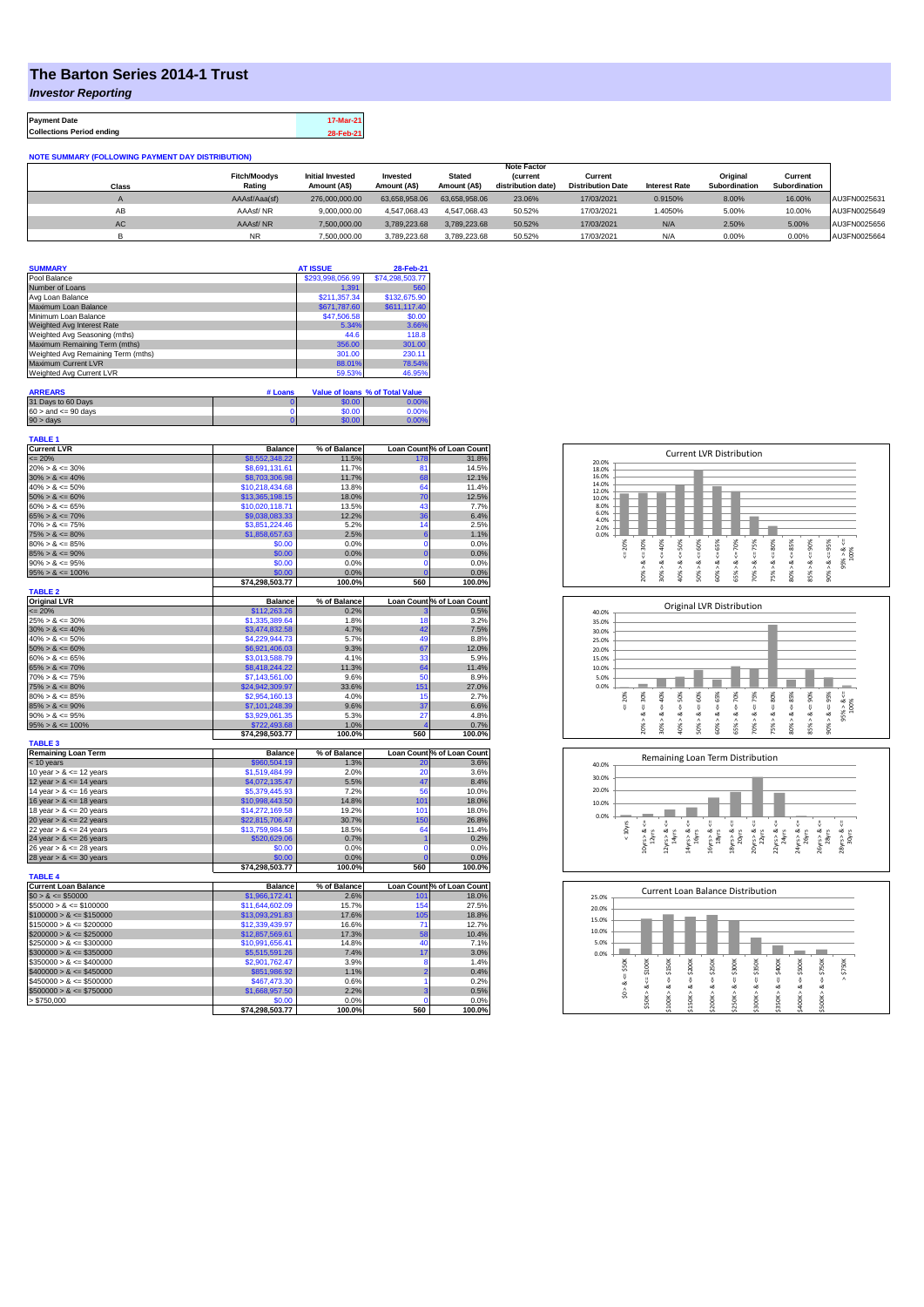## **The Barton Series 2014-1 Trust**

*Investor Reporting*

**Payment Date 17-Mar-21 Collections Period ending 28-Feb-21**

**NOTE SUMMARY (FOLLOWING PAYMENT DAY DISTRIBUTION)**

|       |                     |                         |               |               | <b>Note Factor</b> |                          |                      |               |               |              |
|-------|---------------------|-------------------------|---------------|---------------|--------------------|--------------------------|----------------------|---------------|---------------|--------------|
|       | <b>Fitch/Moodvs</b> | <b>Initial Invested</b> | Invested      | <b>Stated</b> | <i>(current</i>    | Current                  |                      | Original      | Current       |              |
| Class | Rating              | Amount (A\$)            | Amount (A\$)  | Amount (A\$)  | distribution date) | <b>Distribution Date</b> | <b>Interest Rate</b> | Subordination | Subordination |              |
|       | AAAsf/Aaa(sf)       | 276.000.000.00          | 63.658.958.06 | 63.658.958.06 | 23.06%             | 17/03/2021               | 0.9150%              | 8.00%         | 16.00%        | AU3FN0025631 |
| AB    | AAAsf/NR            | 9.000.000.00            | 4.547.068.43  | 4.547.068.43  | 50.52%             | 17/03/2021               | 1.4050%              | 5.00%         | 10.00%        | AU3FN0025649 |
| AC    | AAAsf/NR            | 7.500.000.00            | 3.789.223.68  | 3.789.223.68  | 50.52%             | 17/03/2021               | N/A                  | 2.50%         | 5.00%         | AU3FN0025656 |
|       | <b>NR</b>           | 7.500.000.00            | 3.789.223.68  | 3.789.223.68  | 50.52%             | 17/03/2021               | N/A                  | 0.00%         | 0.00%         | AU3FN0025664 |

| <b>SUMMARY</b>                     | <b>AT ISSUE</b>  | 28-Feb-21       |
|------------------------------------|------------------|-----------------|
| Pool Balance                       | \$293,998,056.99 | \$74,298,503.77 |
| Number of Loans                    | 1.391            | 560             |
| Avg Loan Balance                   | \$211,357.34     | \$132,675.90    |
| Maximum Loan Balance               | \$671,787.60     | \$611,117.40    |
| Minimum Loan Balance               | \$47,506.58      | \$0.00          |
| Weighted Avg Interest Rate         | 5.34%            | 3.66%           |
| Weighted Avg Seasoning (mths)      | 44.6             | 118.8           |
| Maximum Remaining Term (mths)      | 356.00           | 301.00          |
| Weighted Avg Remaining Term (mths) | 301.00           | 230.11          |
| Maximum Current LVR                | 88.01%           | 78.54%          |
| Weighted Avg Current LVR           | 59.53%           | 46.95%          |

| <b>ARREARS</b>            | # Loans |        | Value of Ioans % of Total Value |
|---------------------------|---------|--------|---------------------------------|
| 31 Days to 60 Days        |         | \$0.00 | 0.00%                           |
| $60 >$ and $\leq 90$ days |         | \$0.00 | 0.00%                           |
| $90 >$ days               |         | \$0.00 | 0.00%                           |

| <b>TABLE 1</b>              |                 |              |                |                            |
|-----------------------------|-----------------|--------------|----------------|----------------------------|
| <b>Current LVR</b>          | <b>Balance</b>  | % of Balance |                | Loan Count % of Loan Count |
| $= 20%$                     | \$8,552,348.22  | 11.5%        | 178            | 31.8%                      |
| $20\% > 8 \le 30\%$         | \$8,691,131.61  | 11.7%        | 81             | 14.5%                      |
| $30\% > 8 \le 40\%$         | \$8,703,306.98  | 11.7%        | 68             | 12.1%                      |
| $40\% > 8 \le 50\%$         | \$10,218,434.68 | 13.8%        | 64             | 11.4%                      |
| $50\% > 8 \le 60\%$         | \$13,365,198.15 | 18.0%        | 70             | 12.5%                      |
| $60\% > 8 \le 65\%$         | \$10,020,118.71 | 13.5%        | 43             | 7.7%                       |
| $65\% > 8 \le 70\%$         | \$9,038,083.33  | 12.2%        | 36             | 6.4%                       |
| $70\% > 8 \le 75\%$         | \$3,851,224.46  | 5.2%         | 14             | 2.5%                       |
| $75\% > 8 \le 80\%$         | \$1,858,657.63  | 2.5%         | 6              | 1.1%                       |
| $80\% > 8 \le 85\%$         | \$0.00          | 0.0%         | $\mathbf 0$    | 0.0%                       |
| $85\% > 8 \le 90\%$         | \$0.00          | 0.0%         | $\overline{0}$ | 0.0%                       |
| $90\% > 8 \le 95\%$         | \$0.00          | 0.0%         | 0              | 0.0%                       |
| $95\% > 8 \le 100\%$        | \$0.00          | 0.0%         | ö              | 0.0%                       |
|                             | \$74,298,503.77 | 100.0%       | 560            | 100.0%                     |
| <b>TABLE 2</b>              |                 |              |                |                            |
| <b>Original LVR</b>         | <b>Balance</b>  | % of Balance |                | Loan Count % of Loan Count |
| $= 20%$                     | \$112,263.26    | 0.2%         | 3              | 0.5%                       |
| $25\% > 8 \le 30\%$         | \$1,335,389.64  | 1.8%         | 18             | 3.2%                       |
| $30\% > 8 \le 40\%$         | \$3,474,832.58  | 4.7%         | 42             | 7.5%                       |
| $40\% > 8 \le 50\%$         | \$4,229,944.73  | 5.7%         | 49             | 8.8%                       |
| $50\% > 8 \le 60\%$         | \$6,921,406.03  | 9.3%         | 67             | 12.0%                      |
| $60\% > 8 \le 65\%$         | \$3,013,588.79  | 4.1%         | 33             | 5.9%                       |
| $65\% > 8 \le 70\%$         | \$8,418,244.22  | 11.3%        | 64             | 11.4%                      |
| $70\% > 8 \le 75\%$         | \$7.143.561.00  | 9.6%         | 50             | 8.9%                       |
| $75\% > 8 \le 80\%$         | \$24,942,309.97 | 33.6%        | 151            | 27.0%                      |
| $80\% > 8 \le 85\%$         | \$2.954.160.13  | 4.0%         | 15             | 2.7%                       |
| $85\% > 8 \le 90\%$         | \$7,101,248.39  | 9.6%         | 37             | 6.6%                       |
| $90\% > 8 \le 95\%$         | \$3,929,061.35  | 5.3%         | 27             | 4.8%                       |
| $95\% > 8 \le 100\%$        | \$722,493.68    | 1.0%         | z              | 0.7%                       |
|                             | \$74,298,503.77 | 100.0%       | 560            | 100.0%                     |
| <b>TABLE 3</b>              |                 |              |                |                            |
| <b>Remaining Loan Term</b>  | <b>Balance</b>  | % of Balance |                | Loan Count % of Loan Count |
| $<$ 10 years                | \$960,504.19    | 1.3%         | 20             | 3.6%                       |
| 10 year $> 8 \le 12$ years  | \$1,519,484.99  | 2.0%         | 20             | 3.6%                       |
| 12 year $> 8 \le 14$ years  | \$4,072,135,47  | 5.5%         | 47             | 8.4%                       |
| 14 year $> 8 \le 16$ years  | \$5,379,445.93  | 7.2%         | 56             | 10.0%                      |
| 16 year $> 8 \le 18$ years  | \$10,998,443.50 | 14.8%        | 101            | 18.0%                      |
| 18 year $> 8 \le 20$ years  | \$14,272,169.58 | 19.2%        | 101            | 18.0%                      |
| 20 year $> 8 \le 22$ years  | \$22,815,706.47 | 30.7%        | 150            | 26.8%                      |
| 22 year $> 8 \le 24$ years  | \$13,759,984.58 | 18.5%        | 64             | 11.4%                      |
| 24 year $> 8 \le 26$ years  | \$520,629.06    | 0.7%         | 1              | 0.2%                       |
| 26 year $> 8 \le 28$ years  | \$0.00          | 0.0%         | 0              | 0.0%                       |
| 28 year $> 8 \le 30$ years  | \$0.00          | 0.0%         | Ō              | 0.0%                       |
| <b>TABLE 4</b>              | \$74,298,503.77 | 100.0%       | 560            | 100.0%                     |
| <b>Current Loan Balance</b> | <b>Balance</b>  | % of Balance |                | Loan Count % of Loan Count |
| $$0 > 8 \le $50000$         | \$1,966,172.41  | 2.6%         | 101            | 18.0%                      |
| $$50000 > 8 \le $100000$    | \$11,644,602.09 | 15.7%        | 154            | 27.5%                      |
| $$100000 > 8 \le $150000$   | \$13,093,291.83 | 17.6%        | 105            | 18.8%                      |
| $$150000 > 8 \leq $200000$  |                 | 16.6%        | 71             | 12.7%                      |
| $$200000 > 8 \leq $250000$  | \$12,339,439.97 | 17.3%        | 58             | 10.4%                      |
|                             | \$12,857,569.61 | 14.8%        | 40             | 7.1%                       |
| $$250000 > 8 \leq $300000$  | \$10,991,656.41 |              |                |                            |
| $$300000 > 8 \leq $350000$  | \$5,515,591.26  | 7.4%         | 17             | 3.0%                       |
| $$350000 > 8 \le $400000$   | \$2,901,762.47  | 3.9%         | 8              | 1.4%                       |
| $$400000 > 8 \le $450000$   | \$851,986.92    | 1.1%         | $\overline{2}$ | 0.4%                       |
| $$450000 > 8 \le $500000$   | \$467,473.30    | 0.6%         | 1              | 0.2%                       |
| $$500000 > 8 \le $750000$   | \$1,668,957.50  | 2.2%         | ä              | 0.5%                       |
| \$750,000                   | \$0.00          | 0.0%         | 0              | 0.0%                       |
|                             | \$74,298,503.77 | 100.0%       | 560            | 100.0%                     |







| 25.0% |       |        |        |         | <b>Current Loan Balance Distribution</b> |        |         |        |        |        |        |
|-------|-------|--------|--------|---------|------------------------------------------|--------|---------|--------|--------|--------|--------|
| 20.0% |       |        |        |         |                                          |        |         |        |        |        |        |
| 15.0% |       |        |        |         |                                          |        |         |        |        |        |        |
| 10.0% |       |        |        |         |                                          |        |         |        |        |        |        |
| 5.0%  |       |        |        |         |                                          |        |         |        |        |        |        |
| 0.0%  |       |        |        |         |                                          |        |         |        |        |        |        |
|       | \$50K | \$100K | \$150K | \$200K  | \$250K                                   | \$300K | \$350K  | \$400K | \$500K | \$750K | \$750K |
|       |       |        |        |         |                                          |        |         |        |        |        | Λ      |
|       | œ     | Ų<br>ಹ | œ      | ₩<br>œ  | υ<br>œ                                   | V<br>∞ | ₩<br>oð | ű<br>ಹ | œ      | V<br>ಹ |        |
|       | S.    |        |        |         |                                          | Λ      |         | ٨      |        | ٨      |        |
|       |       | \$50K> | \$100K | \$150K> | \$200K                                   | \$250K | \$300K  | \$350K | \$400K | \$500K |        |
|       |       |        |        |         |                                          |        |         |        |        |        |        |